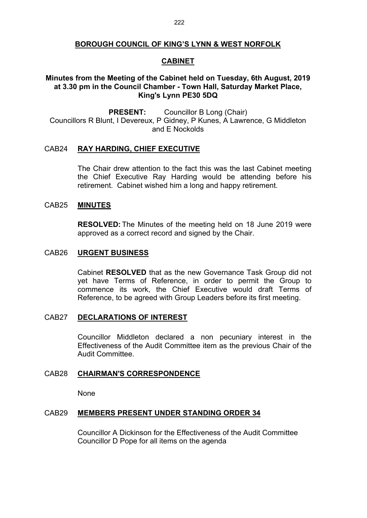### **BOROUGH COUNCIL OF KING'S LYNN & WEST NORFOLK**

# **CABINET**

# **Minutes from the Meeting of the Cabinet held on Tuesday, 6th August, 2019 at 3.30 pm in the Council Chamber - Town Hall, Saturday Market Place, King's Lynn PE30 5DQ**

**PRESENT:** Councillor B Long (Chair) Councillors R Blunt, I Devereux, P Gidney, P Kunes, A Lawrence, G Middleton and E Nockolds

### CAB24 **RAY HARDING, CHIEF EXECUTIVE**

The Chair drew attention to the fact this was the last Cabinet meeting the Chief Executive Ray Harding would be attending before his retirement. Cabinet wished him a long and happy retirement.

#### CAB25 **MINUTES**

**RESOLVED:** The Minutes of the meeting held on 18 June 2019 were approved as a correct record and signed by the Chair.

## CAB26 **URGENT BUSINESS**

Cabinet **RESOLVED** that as the new Governance Task Group did not yet have Terms of Reference, in order to permit the Group to commence its work, the Chief Executive would draft Terms of Reference, to be agreed with Group Leaders before its first meeting.

### CAB27 **DECLARATIONS OF INTEREST**

Councillor Middleton declared a non pecuniary interest in the Effectiveness of the Audit Committee item as the previous Chair of the Audit Committee.

#### CAB28 **CHAIRMAN'S CORRESPONDENCE**

None

#### CAB29 **MEMBERS PRESENT UNDER STANDING ORDER 34**

Councillor A Dickinson for the Effectiveness of the Audit Committee Councillor D Pope for all items on the agenda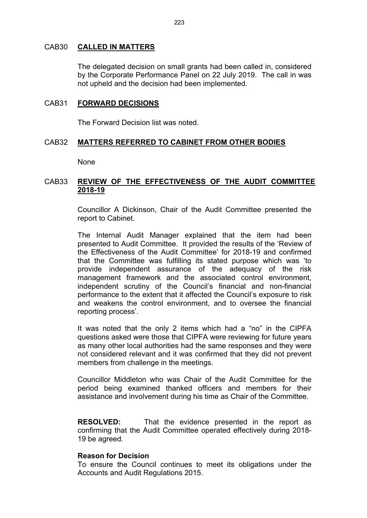### CAB30 **CALLED IN MATTERS**

The delegated decision on small grants had been called in, considered by the Corporate Performance Panel on 22 July 2019. The call in was not upheld and the decision had been implemented.

## CAB31 **FORWARD DECISIONS**

The Forward Decision list was noted.

# CAB32 **MATTERS REFERRED TO CABINET FROM OTHER BODIES**

None

# CAB33 **REVIEW OF THE EFFECTIVENESS OF THE AUDIT COMMITTEE 2018-19**

Councillor A Dickinson, Chair of the Audit Committee presented the report to Cabinet.

The Internal Audit Manager explained that the item had been presented to Audit Committee. It provided the results of the 'Review of the Effectiveness of the Audit Committee' for 2018-19 and confirmed that the Committee was fulfilling its stated purpose which was 'to provide independent assurance of the adequacy of the risk management framework and the associated control environment, independent scrutiny of the Council's financial and non-financial performance to the extent that it affected the Council's exposure to risk and weakens the control environment, and to oversee the financial reporting process'.

It was noted that the only 2 items which had a "no" in the CIPFA questions asked were those that CIPFA were reviewing for future years as many other local authorities had the same responses and they were not considered relevant and it was confirmed that they did not prevent members from challenge in the meetings.

Councillor Middleton who was Chair of the Audit Committee for the period being examined thanked officers and members for their assistance and involvement during his time as Chair of the Committee.

**RESOLVED:** That the evidence presented in the report as confirming that the Audit Committee operated effectively during 2018- 19 be agreed.

### **Reason for Decision**

To ensure the Council continues to meet its obligations under the Accounts and Audit Regulations 2015.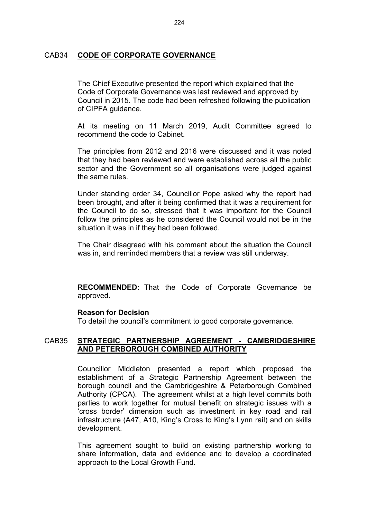## CAB34 **CODE OF CORPORATE GOVERNANCE**

The Chief Executive presented the report which explained that the Code of Corporate Governance was last reviewed and approved by Council in 2015. The code had been refreshed following the publication of CIPFA guidance.

At its meeting on 11 March 2019, Audit Committee agreed to recommend the code to Cabinet.

The principles from 2012 and 2016 were discussed and it was noted that they had been reviewed and were established across all the public sector and the Government so all organisations were judged against the same rules.

Under standing order 34, Councillor Pope asked why the report had been brought, and after it being confirmed that it was a requirement for the Council to do so, stressed that it was important for the Council follow the principles as he considered the Council would not be in the situation it was in if they had been followed.

The Chair disagreed with his comment about the situation the Council was in, and reminded members that a review was still underway.

**RECOMMENDED:** That the Code of Corporate Governance be approved.

#### **Reason for Decision**

To detail the council's commitment to good corporate governance.

# CAB35 **STRATEGIC PARTNERSHIP AGREEMENT - CAMBRIDGESHIRE AND PETERBOROUGH COMBINED AUTHORITY**

Councillor Middleton presented a report which proposed the establishment of a Strategic Partnership Agreement between the borough council and the Cambridgeshire & Peterborough Combined Authority (CPCA). The agreement whilst at a high level commits both parties to work together for mutual benefit on strategic issues with a 'cross border' dimension such as investment in key road and rail infrastructure (A47, A10, King's Cross to King's Lynn rail) and on skills development.

This agreement sought to build on existing partnership working to share information, data and evidence and to develop a coordinated approach to the Local Growth Fund.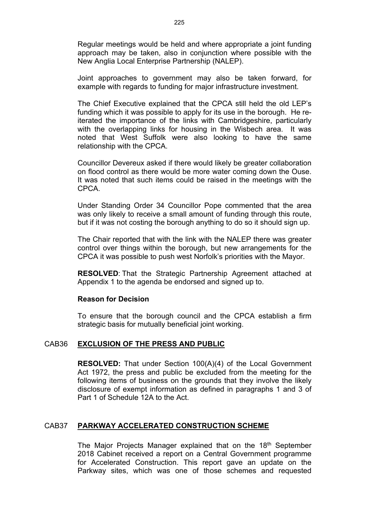Regular meetings would be held and where appropriate a joint funding approach may be taken, also in conjunction where possible with the New Anglia Local Enterprise Partnership (NALEP).

Joint approaches to government may also be taken forward, for example with regards to funding for major infrastructure investment.

The Chief Executive explained that the CPCA still held the old LEP's funding which it was possible to apply for its use in the borough. He reiterated the importance of the links with Cambridgeshire, particularly with the overlapping links for housing in the Wisbech area. It was noted that West Suffolk were also looking to have the same relationship with the CPCA.

Councillor Devereux asked if there would likely be greater collaboration on flood control as there would be more water coming down the Ouse. It was noted that such items could be raised in the meetings with the CPCA.

Under Standing Order 34 Councillor Pope commented that the area was only likely to receive a small amount of funding through this route, but if it was not costing the borough anything to do so it should sign up.

The Chair reported that with the link with the NALEP there was greater control over things within the borough, but new arrangements for the CPCA it was possible to push west Norfolk's priorities with the Mayor.

**RESOLVED**: That the Strategic Partnership Agreement attached at Appendix 1 to the agenda be endorsed and signed up to.

#### **Reason for Decision**

To ensure that the borough council and the CPCA establish a firm strategic basis for mutually beneficial joint working.

### CAB36 **EXCLUSION OF THE PRESS AND PUBLIC**

**RESOLVED:** That under Section 100(A)(4) of the Local Government Act 1972, the press and public be excluded from the meeting for the following items of business on the grounds that they involve the likely disclosure of exempt information as defined in paragraphs 1 and 3 of Part 1 of Schedule 12A to the Act.

## CAB37 **PARKWAY ACCELERATED CONSTRUCTION SCHEME**

The Major Projects Manager explained that on the 18<sup>th</sup> September 2018 Cabinet received a report on a Central Government programme for Accelerated Construction. This report gave an update on the Parkway sites, which was one of those schemes and requested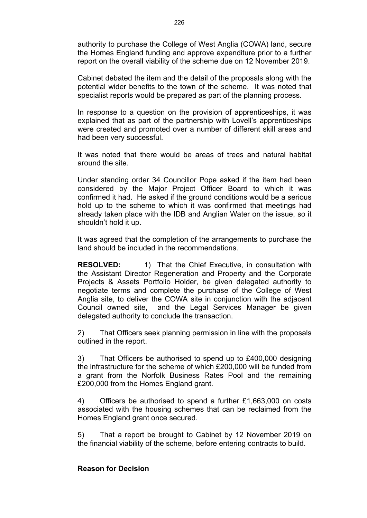authority to purchase the College of West Anglia (COWA) land, secure the Homes England funding and approve expenditure prior to a further report on the overall viability of the scheme due on 12 November 2019.

Cabinet debated the item and the detail of the proposals along with the potential wider benefits to the town of the scheme. It was noted that specialist reports would be prepared as part of the planning process.

In response to a question on the provision of apprenticeships, it was explained that as part of the partnership with Lovell's apprenticeships were created and promoted over a number of different skill areas and had been very successful.

It was noted that there would be areas of trees and natural habitat around the site.

Under standing order 34 Councillor Pope asked if the item had been considered by the Major Project Officer Board to which it was confirmed it had. He asked if the ground conditions would be a serious hold up to the scheme to which it was confirmed that meetings had already taken place with the IDB and Anglian Water on the issue, so it shouldn't hold it up.

It was agreed that the completion of the arrangements to purchase the land should be included in the recommendations.

**RESOLVED:** 1) That the Chief Executive, in consultation with the Assistant Director Regeneration and Property and the Corporate Projects & Assets Portfolio Holder, be given delegated authority to negotiate terms and complete the purchase of the College of West Anglia site, to deliver the COWA site in conjunction with the adjacent Council owned site, and the Legal Services Manager be given delegated authority to conclude the transaction.

2) That Officers seek planning permission in line with the proposals outlined in the report.

3) That Officers be authorised to spend up to £400,000 designing the infrastructure for the scheme of which £200,000 will be funded from a grant from the Norfolk Business Rates Pool and the remaining £200,000 from the Homes England grant.

4) Officers be authorised to spend a further £1,663,000 on costs associated with the housing schemes that can be reclaimed from the Homes England grant once secured.

5) That a report be brought to Cabinet by 12 November 2019 on the financial viability of the scheme, before entering contracts to build.

## **Reason for Decision**